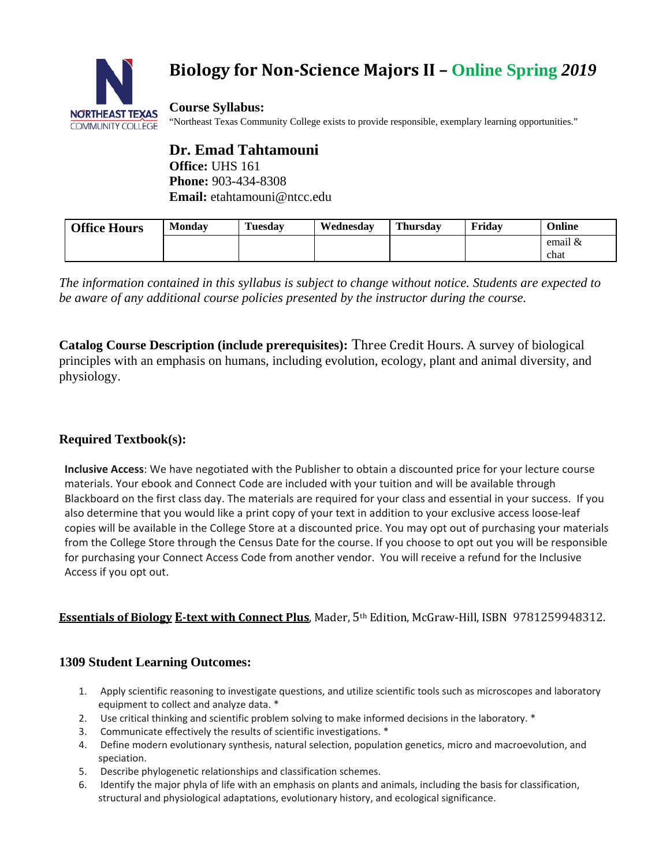

# **Biology for Non-Science Majors II – Online Spring** *2019*

**Course Syllabus:** "Northeast Texas Community College exists to provide responsible, exemplary learning opportunities."

**Dr. Emad Tahtamouni Office:** UHS 161 **Phone:** 903-434-8308 **Email:** etahtamouni@ntcc.edu

| <b>Office Hours</b> | <b>Monday</b> | <b>Tuesday</b> | Wednesdav | <b>Thursday</b> | Fridav | Online    |
|---------------------|---------------|----------------|-----------|-----------------|--------|-----------|
|                     |               |                |           |                 |        | email $&$ |
|                     |               |                |           |                 |        | chat      |

*The information contained in this syllabus is subject to change without notice. Students are expected to be aware of any additional course policies presented by the instructor during the course.*

**Catalog Course Description (include prerequisites):** Three Credit Hours. A survey of biological principles with an emphasis on humans, including evolution, ecology, plant and animal diversity, and physiology.

# **Required Textbook(s):**

**Inclusive Access**: We have negotiated with the Publisher to obtain a discounted price for your lecture course materials. Your ebook and Connect Code are included with your tuition and will be available through Blackboard on the first class day. The materials are required for your class and essential in your success. If you also determine that you would like a print copy of your text in addition to your exclusive access loose-leaf copies will be available in the College Store at a discounted price. You may opt out of purchasing your materials from the College Store through the Census Date for the course. If you choose to opt out you will be responsible for purchasing your Connect Access Code from another vendor. You will receive a refund for the Inclusive Access if you opt out.

# **Essentials of Biology E-text with Connect Plus**, Mader, 5th Edition, McGraw-Hill, ISBN 9781259948312.

# **1309 Student Learning Outcomes:**

- 1. Apply scientific reasoning to investigate questions, and utilize scientific tools such as microscopes and laboratory equipment to collect and analyze data. \*
- 2. Use critical thinking and scientific problem solving to make informed decisions in the laboratory. \*
- 3. Communicate effectively the results of scientific investigations. \*
- 4. Define modern evolutionary synthesis, natural selection, population genetics, micro and macroevolution, and speciation.
- 5. Describe phylogenetic relationships and classification schemes.
- 6. Identify the major phyla of life with an emphasis on plants and animals, including the basis for classification, structural and physiological adaptations, evolutionary history, and ecological significance.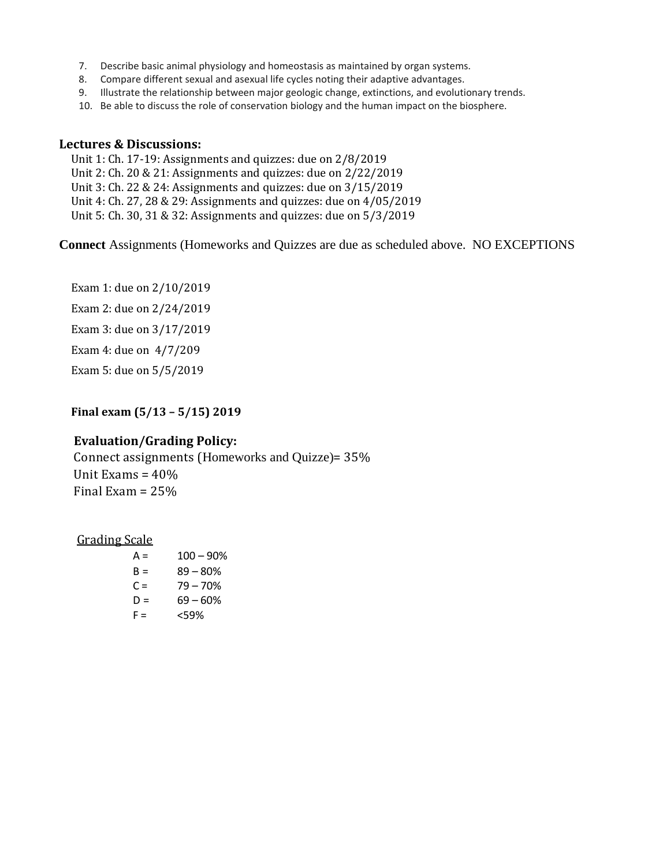- 7. Describe basic animal physiology and homeostasis as maintained by organ systems.
- 8. Compare different sexual and asexual life cycles noting their adaptive advantages.
- 9. Illustrate the relationship between major geologic change, extinctions, and evolutionary trends.
- 10. Be able to discuss the role of conservation biology and the human impact on the biosphere.

#### **Lectures & Discussions:**

Unit 1: Ch. 17-19: Assignments and quizzes: due on 2/8/2019 Unit 2: Ch. 20 & 21: Assignments and quizzes: due on 2/22/2019 Unit 3: Ch. 22 & 24: Assignments and quizzes: due on 3/15/2019 Unit 4: Ch. 27, 28 & 29: Assignments and quizzes: due on 4/05/2019 Unit 5: Ch. 30, 31 & 32: Assignments and quizzes: due on 5/3/2019

**Connect** Assignments (Homeworks and Quizzes are due as scheduled above. NO EXCEPTIONS

Exam 1: due on 2/10/2019 Exam 2: due on 2/24/2019 Exam 3: due on 3/17/2019 Exam 4: due on 4/7/209 Exam 5: due on 5/5/2019

## **Final exam (5/13 – 5/15) 2019**

## **Evaluation/Grading Policy:**

Connect assignments (Homeworks and Quizze)= 35% Unit Exams = 40% Final Exam = 25%

#### Grading Scale

| A = | $100 - 90%$ |
|-----|-------------|
| B = | $89 - 80%$  |
| C = | $79 - 70%$  |
| D = | $69 - 60%$  |
| F = | <59%        |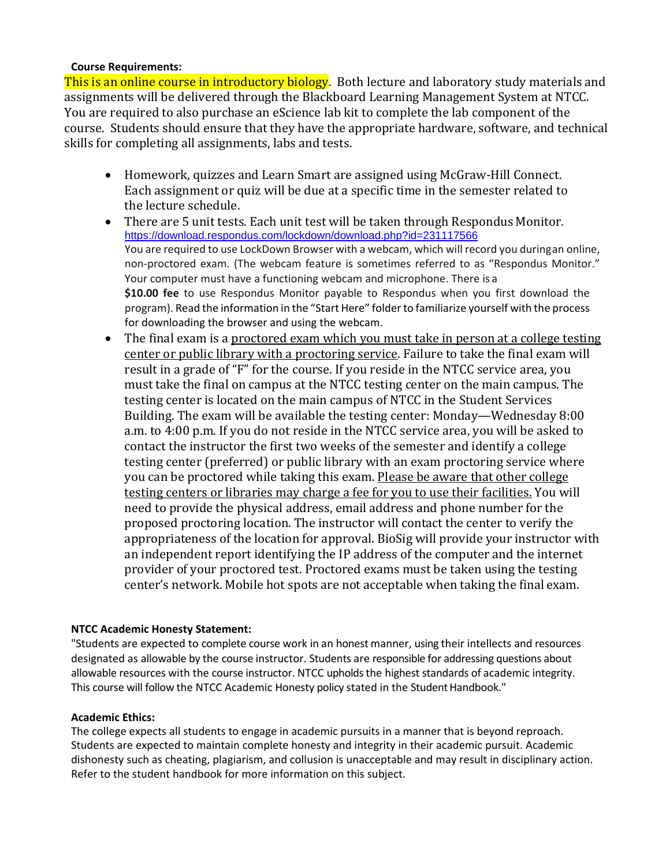#### **Course Requirements:**

This is an online course in introductory biology. Both lecture and laboratory study materials and assignments will be delivered through the Blackboard Learning Management System at NTCC. You are required to also purchase an eScience lab kit to complete the lab component of the course. Students should ensure that they have the appropriate hardware, software, and technical skills for completing all assignments, labs and tests.

- Homework, quizzes and Learn Smart are assigned using McGraw-Hill Connect. Each assignment or quiz will be due at a specific time in the semester related to the lecture schedule.
- There are 5 unit tests. Each unit test will be taken through Respondus Monitor. <https://download.respondus.com/lockdown/download.php?id=231117566> You are required to use LockDown Browser with a webcam, which will record you duringan online, non-proctored exam. (The webcam feature is sometimes referred to as "Respondus Monitor." Your computer must have a functioning webcam and microphone. There is a **\$10.00 fee** to use Respondus Monitor payable to Respondus when you first download the program). Read the information in the "Start Here" folder to familiarize yourself with the process for downloading the browser and using the webcam.
- The final exam is a proctored exam which you must take in person at a college testing center or public library with a proctoring service. Failure to take the final exam will result in a grade of "F" for the course. If you reside in the NTCC service area, you must take the final on campus at the NTCC testing center on the main campus. The testing center is located on the main campus of NTCC in the Student Services Building. The exam will be available the testing center: Monday—Wednesday 8:00 a.m. to 4:00 p.m. If you do not reside in the NTCC service area, you will be asked to contact the instructor the first two weeks of the semester and identify a college testing center (preferred) or public library with an exam proctoring service where you can be proctored while taking this exam. Please be aware that other college testing centers or libraries may charge a fee for you to use their facilities. You will need to provide the physical address, email address and phone number for the proposed proctoring location. The instructor will contact the center to verify the appropriateness of the location for approval. BioSig will provide your instructor with an independent report identifying the IP address of the computer and the internet provider of your proctored test. Proctored exams must be taken using the testing center's network. Mobile hot spots are not acceptable when taking the final exam.

## **NTCC Academic Honesty Statement:**

"Students are expected to complete course work in an honest manner, using their intellects and resources designated as allowable by the course instructor. Students are responsible for addressing questions about allowable resources with the course instructor. NTCC upholds the highest standards of academic integrity. This course will follow the NTCC Academic Honesty policy stated in the Student Handbook."

#### **Academic Ethics:**

The college expects all students to engage in academic pursuits in a manner that is beyond reproach. Students are expected to maintain complete honesty and integrity in their academic pursuit. Academic dishonesty such as cheating, plagiarism, and collusion is unacceptable and may result in disciplinary action. Refer to the student handbook for more information on this subject.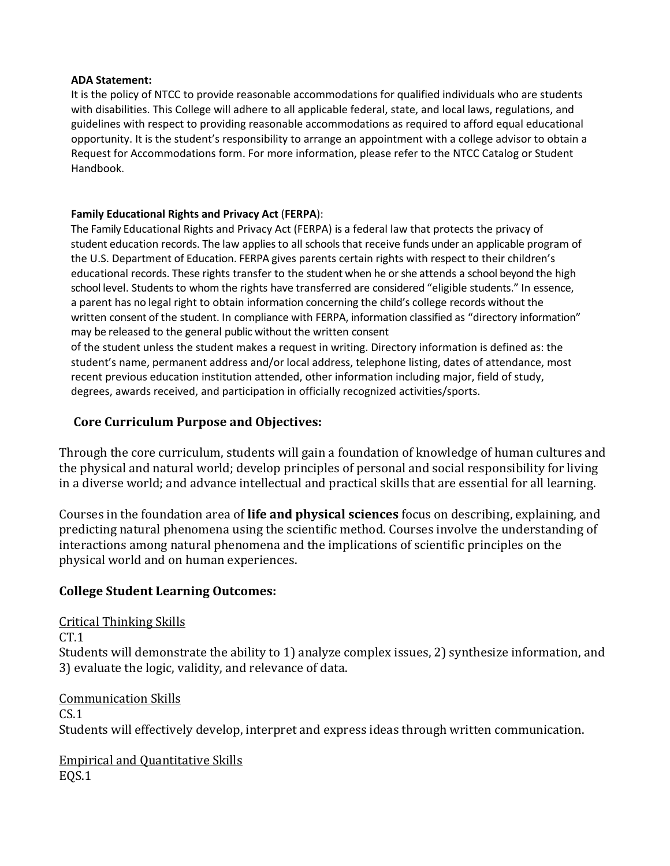#### **ADA Statement:**

It is the policy of NTCC to provide reasonable accommodations for qualified individuals who are students with disabilities. This College will adhere to all applicable federal, state, and local laws, regulations, and guidelines with respect to providing reasonable accommodations as required to afford equal educational opportunity. It is the student's responsibility to arrange an appointment with a college advisor to obtain a Request for Accommodations form. For more information, please refer to the NTCC Catalog or Student Handbook.

#### **Family Educational Rights and Privacy Act** (**FERPA**):

The Family Educational Rights and Privacy Act (FERPA) is a federal law that protects the privacy of student education records. The law applies to all schools that receive funds under an applicable program of the U.S. Department of Education. FERPA gives parents certain rights with respect to their children's educational records. These rights transfer to the student when he or she attends a school beyond the high school level. Students to whom the rights have transferred are considered "eligible students." In essence, a parent has no legal right to obtain information concerning the child's college records without the written consent of the student. In compliance with FERPA, information classified as "directory information" may be released to the general public without the written consent

of the student unless the student makes a request in writing. Directory information is defined as: the student's name, permanent address and/or local address, telephone listing, dates of attendance, most recent previous education institution attended, other information including major, field of study, degrees, awards received, and participation in officially recognized activities/sports.

## **Core Curriculum Purpose and Objectives:**

Through the core curriculum, students will gain a foundation of knowledge of human cultures and the physical and natural world; develop principles of personal and social responsibility for living in a diverse world; and advance intellectual and practical skills that are essential for all learning.

Courses in the foundation area of **life and physical sciences** focus on describing, explaining, and predicting natural phenomena using the scientific method. Courses involve the understanding of interactions among natural phenomena and the implications of scientific principles on the physical world and on human experiences.

## **College Student Learning Outcomes:**

Critical Thinking Skills  $CT.1$ Students will demonstrate the ability to 1) analyze complex issues, 2) synthesize information, and 3) evaluate the logic, validity, and relevance of data.

Communication Skills  $CS.1$ Students will effectively develop, interpret and express ideas through written communication.

Empirical and Quantitative Skills EQS.1